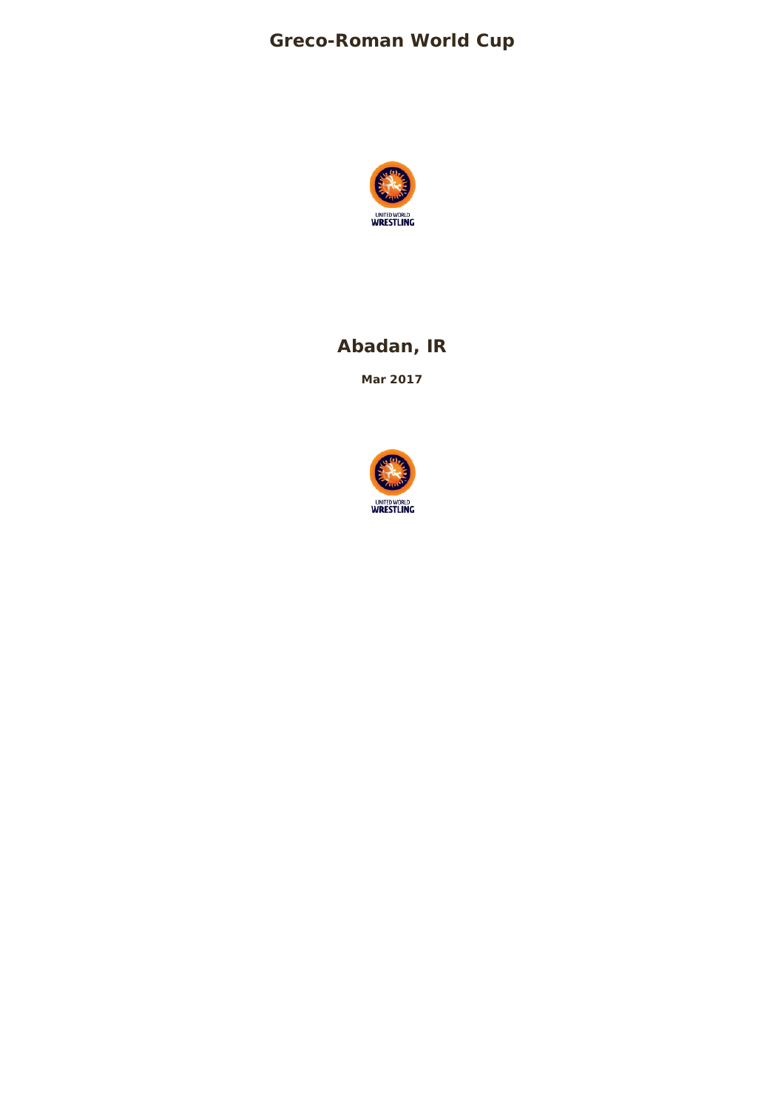## **Greco-Roman World Cup**



## **Abadan, IR**

**Mar 2017**

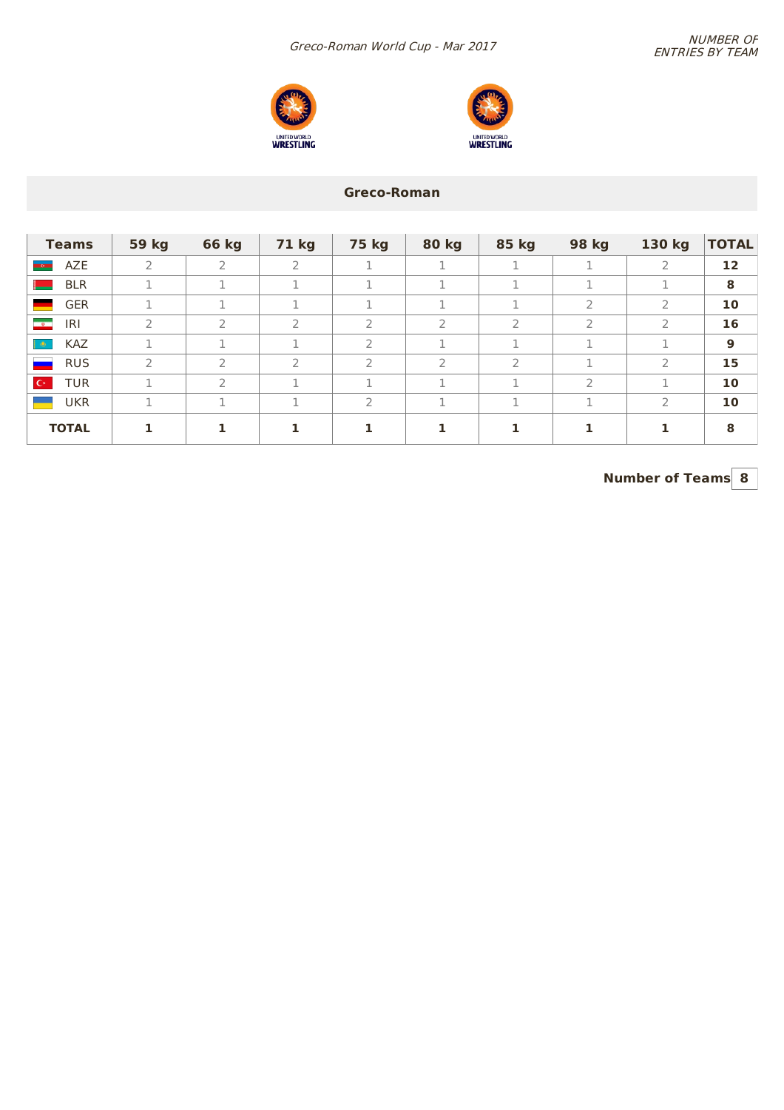



### **Greco-Roman**

| <b>Teams</b>                     | <b>59 kg</b>  | <b>66 kg</b>   | <b>71 kg</b> | <b>75 kg</b>  | <b>80 kg</b>   | 85 kg | 98 kg         | 130 kg         | <b>TOTAL</b> |
|----------------------------------|---------------|----------------|--------------|---------------|----------------|-------|---------------|----------------|--------------|
| AZE<br><b>MONE</b>               | 2             | $\overline{2}$ | 2            |               |                | 1     |               | $\overline{2}$ | 12           |
| <b>BLR</b>                       |               |                |              |               |                | 1     |               |                | 8            |
| <b>GER</b>                       |               |                | <b>T</b>     |               |                | 1     | $\mathcal{P}$ | $\mathcal{P}$  | 10           |
| IRI<br>$\rightarrow$             | $\mathcal{P}$ | $\overline{2}$ | 2            | 2             | $\overline{2}$ | 2     | 2             | $\mathcal{P}$  | 16           |
| <b>KAZ</b><br>$\bullet$          |               | п.             | n.           | $\mathcal{P}$ |                | п.    | п             |                | 9            |
| <b>RUS</b>                       | 2             | $\mathcal{L}$  | $\supset$    | 2             | 2              | 2     | n.            | $\overline{2}$ | 15           |
| $\mathbb{C}^\star$<br><b>TUR</b> |               | フ              |              |               |                |       | $\mathcal{P}$ |                | 10           |
| <b>UKR</b>                       | Ŧ.            | п.             | <b>T</b>     | 2             |                | 1     | ÷.            | $\mathcal{P}$  | 10           |
| <b>TOTAL</b>                     |               |                |              | 1             |                |       |               |                | 8            |

**Number of Teams 8**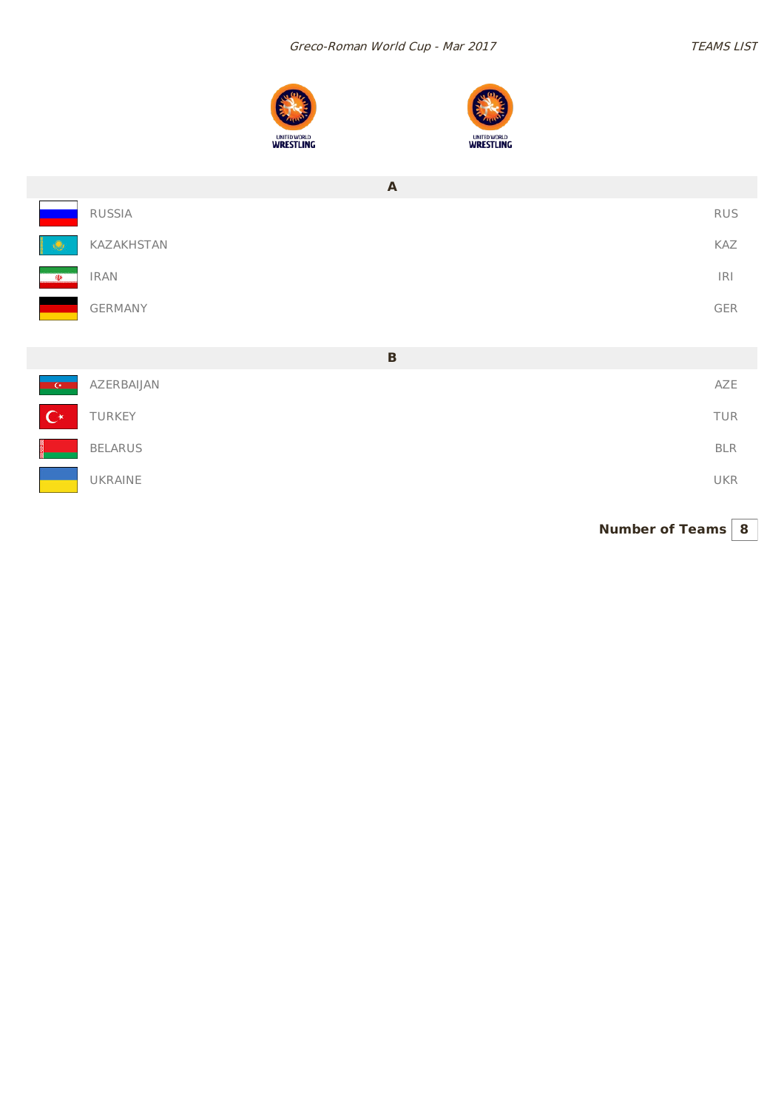



|                                                   | A              |                |
|---------------------------------------------------|----------------|----------------|
|                                                   | RUSSIA         | <b>RUS</b>     |
| - 49                                              | KAZAKHSTAN     | KAZ            |
| $\Phi$                                            | <b>IRAN</b>    | $ \mathsf{R} $ |
|                                                   | GERMANY        | GER            |
|                                                   |                |                |
|                                                   | $\, {\bf B}$   |                |
| $\overline{\phantom{a}}$ $\overline{\phantom{a}}$ | AZERBAIJAN     | AZE            |
| $\mathbf{C}^*$                                    | TURKEY         | TUR            |
|                                                   | <b>BELARUS</b> | <b>BLR</b>     |
|                                                   | UKRAINE        | UKR            |

**Number of Teams 8**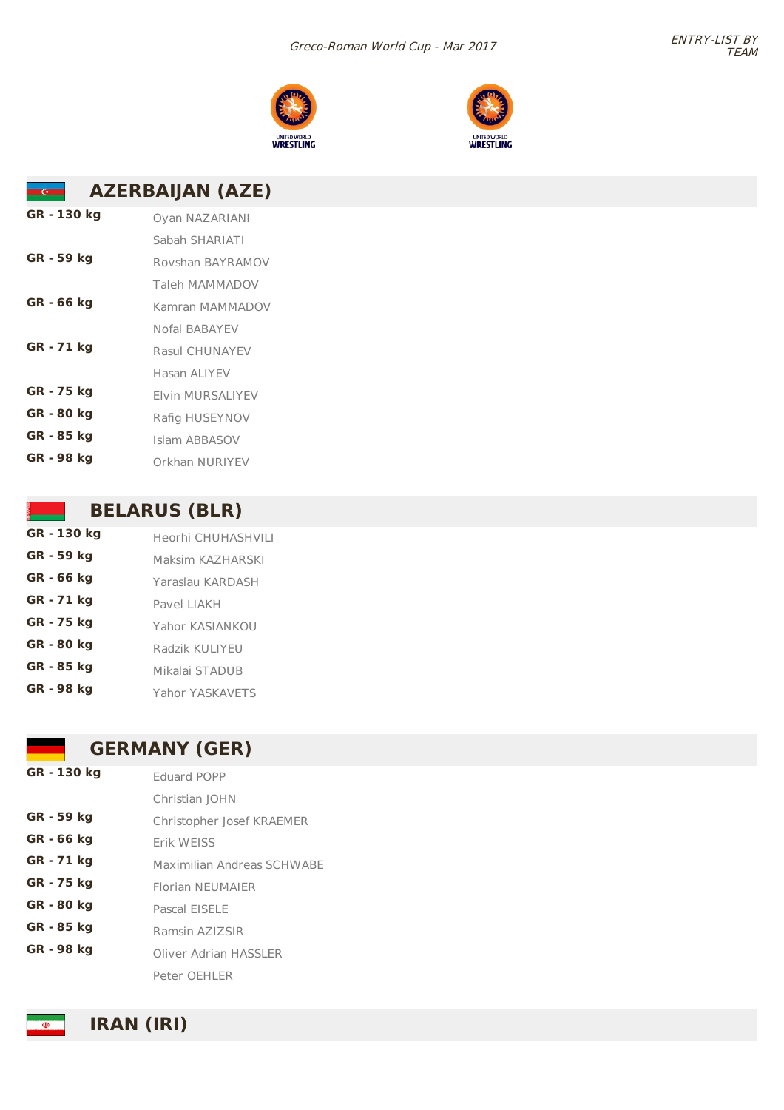#### Greco-Roman World Cup - Mar 2017





#### **AZERBAIJAN (AZE)**  $\overline{G}$

| GR - 130 kg | Oyan NAZARIANI          |
|-------------|-------------------------|
|             | Sabah SHARIATI          |
| GR - 59 kg  | Rovshan BAYRAMOV        |
|             | Taleh MAMMADOV          |
| GR - 66 kg  | Kamran MAMMADOV         |
|             | Nofal BABAYFV           |
| GR - 71 kg  | Rasul CHUNAYEV          |
|             | Hasan ALIYEV            |
| GR - 75 kg  | <b>Flyin MURSALIYEV</b> |
| GR - 80 kg  | Rafig HUSEYNOV          |
| GR - 85 kg  | Islam ABBASOV           |
| GR - 98 kg  | Orkhan NURIYEV          |

### **BELARUS (BLR)**

| GR - 130 kg | Heorhi CHUHASHVILI |
|-------------|--------------------|
| GR - 59 kg  | Maksim KAZHARSKI   |
| GR - 66 kg  | Yaraslau KARDASH   |
| GR - 71 kg  | Pavel LIAKH        |
| GR - 75 kg  | Yahor KASIANKOU    |
| GR - 80 kg  | Radzik KULIYEU     |
| GR - 85 kg  | Mikalai STADUB     |
| GR - 98 kg  | Yahor YASKAVETS    |

## **GERMANY (GER)**

| GR - 130 kg | <b>Eduard POPP</b>         |  |  |  |
|-------------|----------------------------|--|--|--|
|             | Christian JOHN             |  |  |  |
| GR - 59 kg  | Christopher Josef KRAEMER  |  |  |  |
| GR - 66 kg  | Frik WFISS                 |  |  |  |
| GR - 71 kg  | Maximilian Andreas SCHWABE |  |  |  |
| GR - 75 kg  | <b>Florian NEUMAIER</b>    |  |  |  |
| GR - 80 kg  | Pascal EISELE              |  |  |  |
| GR - 85 kg  | Ramsin AZIZSIR             |  |  |  |
| GR - 98 kg  | Oliver Adrian HASSI FR     |  |  |  |
|             | Peter OFHI FR              |  |  |  |
|             |                            |  |  |  |

**IRAN (IRI)**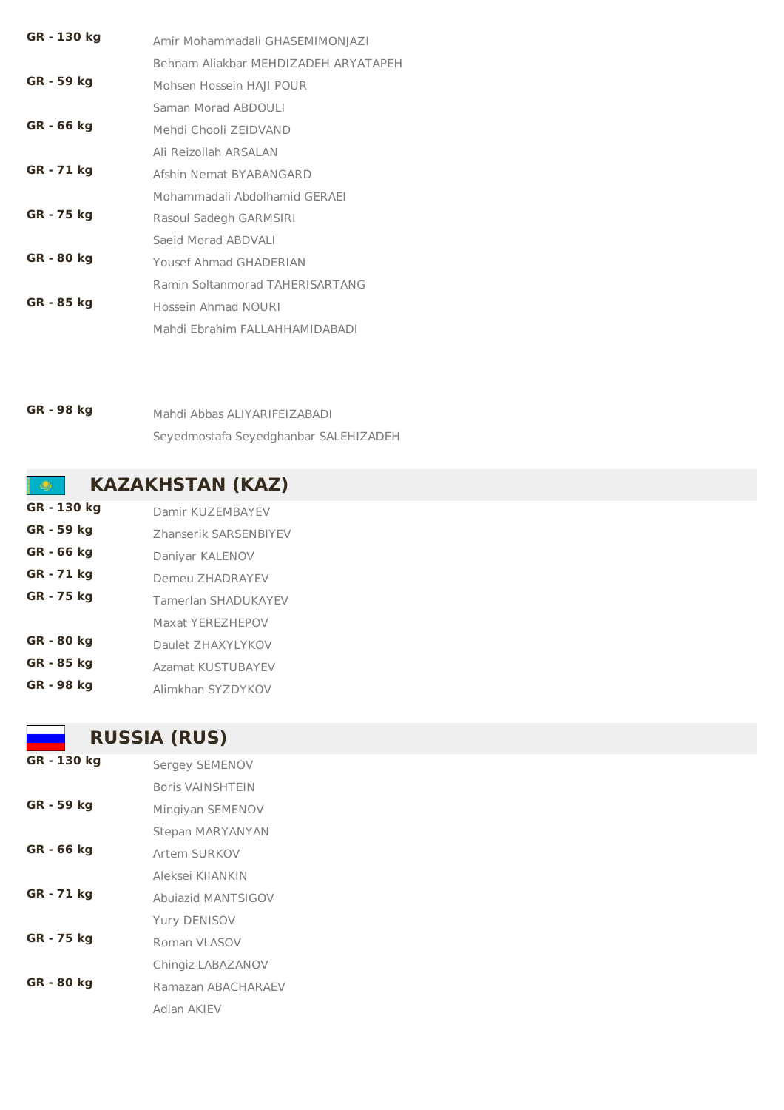| GR - 130 kg | Amir Mohammadali GHASEMIMONJAZI        |
|-------------|----------------------------------------|
|             | Behnam Aliakbar MEHDIZADEH ARYATAPEH   |
| GR - 59 kg  | Mohsen Hossein HAII POUR               |
|             | Saman Morad ABDOULI                    |
| GR - 66 kg  | Mehdi Chooli ZEIDVAND                  |
|             | Ali Reizollah ARSAI AN                 |
| GR - 71 kg  | Afshin Nemat BYABANGARD                |
|             | Mohammadali Abdolhamid GERAEI          |
| GR - 75 kg  | Rasoul Sadegh GARMSIRI                 |
|             | Saeid Morad ABDVALI                    |
| GR - 80 kg  | Yousef Ahmad GHADERIAN                 |
|             | <b>Ramin Soltanmorad TAHERISARTANG</b> |
| GR - 85 kg  | Hossein Ahmad NOURI                    |
|             | Mahdi Ebrahim FALLAHHAMIDABADI         |

**GR - 98 kg** Mahdi Abbas ALIYARIFEIZABADI Seyedmostafa Seyedghanbar SALEHIZADEH

## **KAZAKHSTAN (KAZ)**

**GR - 130 kg** Damir KUZEMBAYEV **GR - 59 kg** Zhanserik SARSENBIYEV **GR - 66 kg** Daniyar KALENOV **GR - 71 kg** Demeu ZHADRAYEV **GR - 75 kg** Tamerlan SHADUKAYEV Maxat YEREZHEPOV **GR - 80 kg** Daulet ZHAXYLYKOV **GR - 85 kg** Azamat KUSTUBAYEV **GR - 98 kg** Alimkhan SYZDYKOV

## **RUSSIA (RUS)**

| GR - 130 kg | Sergey SEMENOV     |
|-------------|--------------------|
|             | Boris VAINSHTEIN   |
| GR - 59 kg  | Mingiyan SEMENOV   |
|             | Stepan MARYANYAN   |
| GR - 66 kg  | Artem SURKOV       |
|             | Aleksei KIIANKIN   |
| GR - 71 kg  | Abujazid MANTSIGOV |
|             | Yury DENISOV       |
| GR - 75 kg  | Roman VI ASOV      |
|             | Chingiz LABAZANOV  |
| GR - 80 kg  | Ramazan ABACHARAFV |
|             | Adlan AKIFV        |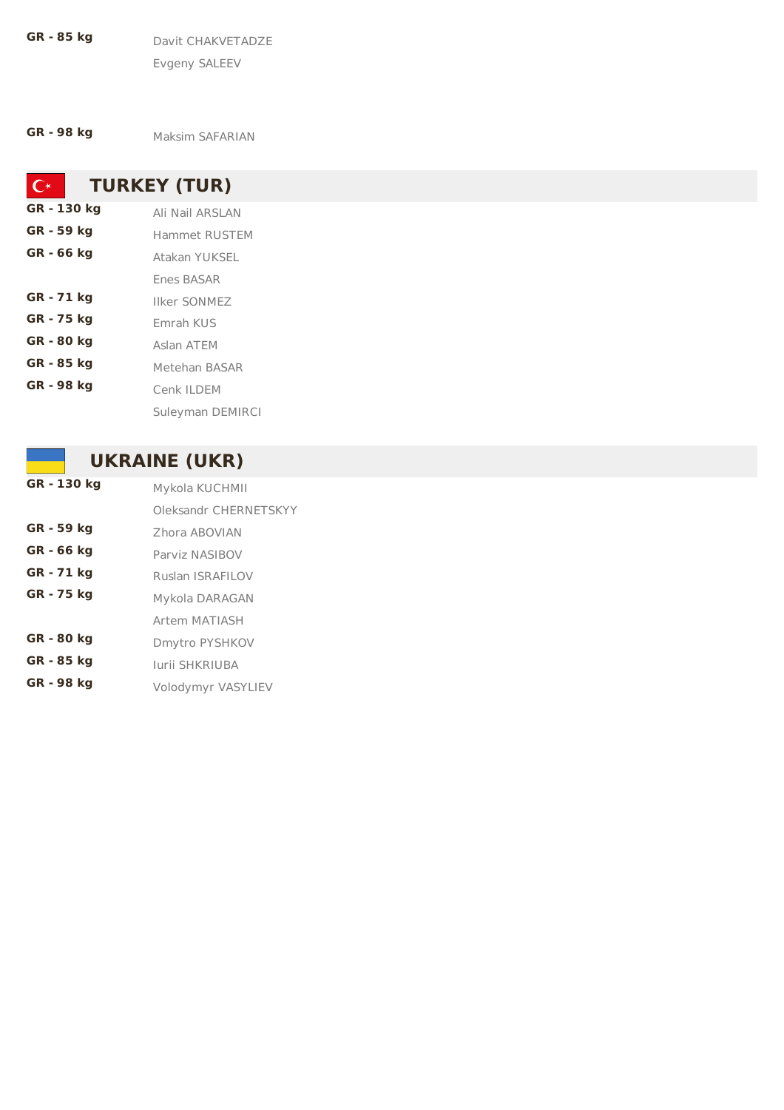**GR - 85 kg** Davit CHAKVETADZE Evgeny SALEEV

**GR - 98 kg** Maksim SAFARIAN

**TURKEY (TUR)**  $C^*$ **GR - 130 kg** Ali Nail ARSLAN **GR - 59 kg** Hammet RUSTEM **GR - 66 kg** Atakan YUKSEL Enes BASAR **GR - 71 kg** Ilker SONMEZ **GR - 75 kg** Emrah KUS **GR - 80 kg** Aslan ATEM **GR - 85 kg** Metehan BASAR **GR - 98 kg** Cenk ILDEM Suleyman DEMIRCI

## **UKRAINE (UKR)**

| GR - 130 kg | Mykola KUCHMII          |
|-------------|-------------------------|
|             | Oleksandr CHERNETSKYY   |
| GR - 59 kg  | Zhora ABOVIAN           |
| GR - 66 kg  | Parviz NASIBOV          |
| GR - 71 kg  | <b>Ruslan ISRAFILOV</b> |
| GR - 75 kg  | Mykola DARAGAN          |
|             | Artem MATIASH           |
| GR - 80 kg  | Dmytro PYSHKOV          |
| GR - 85 kg  | lurii SHKRIUBA          |
| GR - 98 kg  | Volodymyr VASYLIEV      |
|             |                         |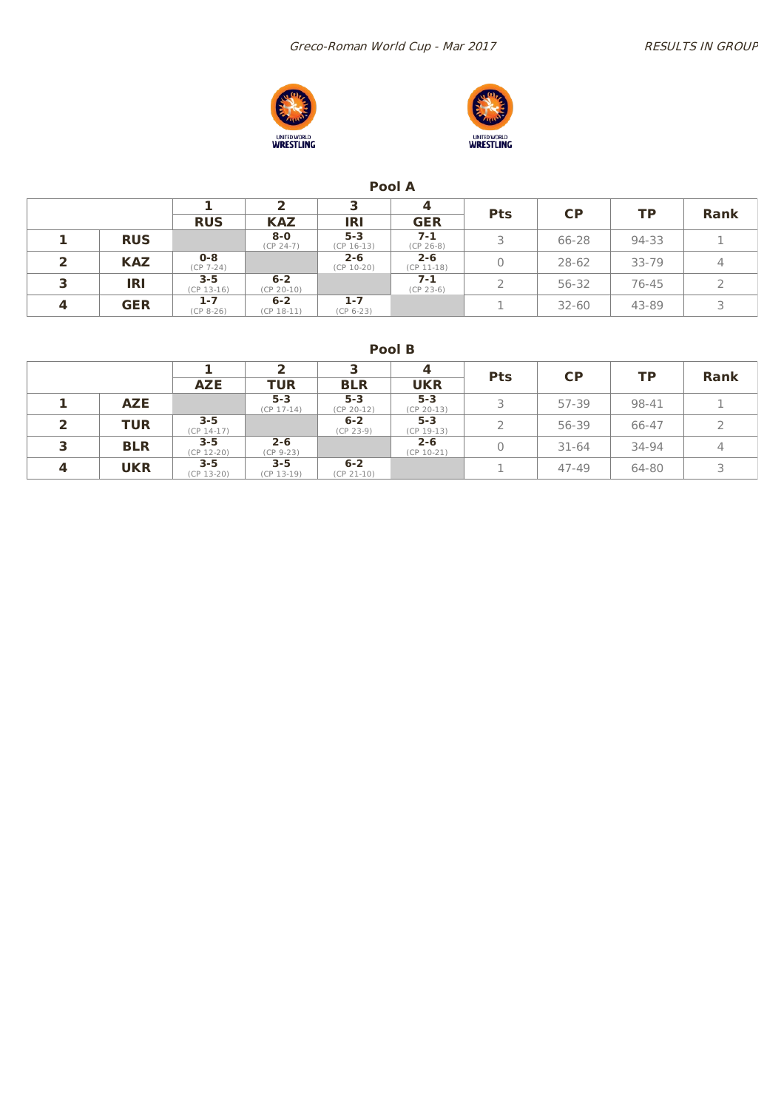Greco-Roman World Cup - Mar 2017 Marrow RESULTS IN GROUP





### **Pool A**

|   |            |                         |                         |                         | 4                       | <b>Pts</b> | <b>CP</b> | <b>TP</b> | <b>Rank</b> |
|---|------------|-------------------------|-------------------------|-------------------------|-------------------------|------------|-----------|-----------|-------------|
|   |            | <b>RUS</b>              | <b>KAZ</b>              | IRI                     | <b>GER</b>              |            |           |           |             |
|   | <b>RUS</b> |                         | $8-0$<br>$(CP 24-7)$    | $5 - 3$<br>$(CP 16-13)$ | $7 - 1$<br>$(CP 26-8)$  |            | 66-28     | 94-33     |             |
|   | <b>KAZ</b> | $0 - 8$<br>$(CP 7-24)$  |                         | $2 - 6$<br>$(CP 10-20)$ | $2 - 6$<br>$(CP 11-18)$ |            | $28 - 62$ | $33 - 79$ | 4           |
| ∍ | <b>IRI</b> | $3 - 5$<br>$(CP 13-16)$ | $6 - 2$<br>$(CP 20-10)$ |                         | 7-1<br>$(CP 23-6)$      |            | 56-32     | 76-45     |             |
|   | <b>GER</b> | $1 - 7$<br>$(CP_8-26)$  | $6 - 2$<br>$(CP 18-11)$ | $1 - 7$<br>$(CP 6-23)$  |                         |            | $32 - 60$ | 43-89     |             |

**Pool B**

|   |            |                         |                         |                         | 4                       | <b>Pts</b> | <b>CP</b> | <b>TP</b> | <b>Rank</b> |
|---|------------|-------------------------|-------------------------|-------------------------|-------------------------|------------|-----------|-----------|-------------|
|   |            | <b>AZE</b>              | <b>TUR</b>              | <b>BLR</b>              | <b>UKR</b>              |            |           |           |             |
|   | <b>AZE</b> |                         | $5 - 3$<br>$(CP 17-14)$ | $5 - 3$<br>$(CP 20-12)$ | $5 - 3$<br>$(CP 20-13)$ | ⊇          | 57-39     | 98-41     |             |
|   | <b>TUR</b> | $3 - 5$<br>$(CP 14-17)$ |                         | $6 - 2$<br>$(CP 23-9)$  | $5 - 3$<br>$(CP 19-13)$ |            | 56-39     | 66-47     |             |
| ∍ | <b>BLR</b> | $3 - 5$<br>$(CP 12-20)$ | $2 - 6$<br>$(CP 9-23)$  |                         | $2 - 6$<br>$(CP 10-21)$ | 0          | $31 - 64$ | 34-94     | 4           |
| 4 | <b>UKR</b> | $3 - 5$<br>$(CP 13-20)$ | $3 - 5$<br>$(CP 13-19)$ | $6 - 2$<br>$(CP 21-10)$ |                         |            | $47 - 49$ | 64-80     |             |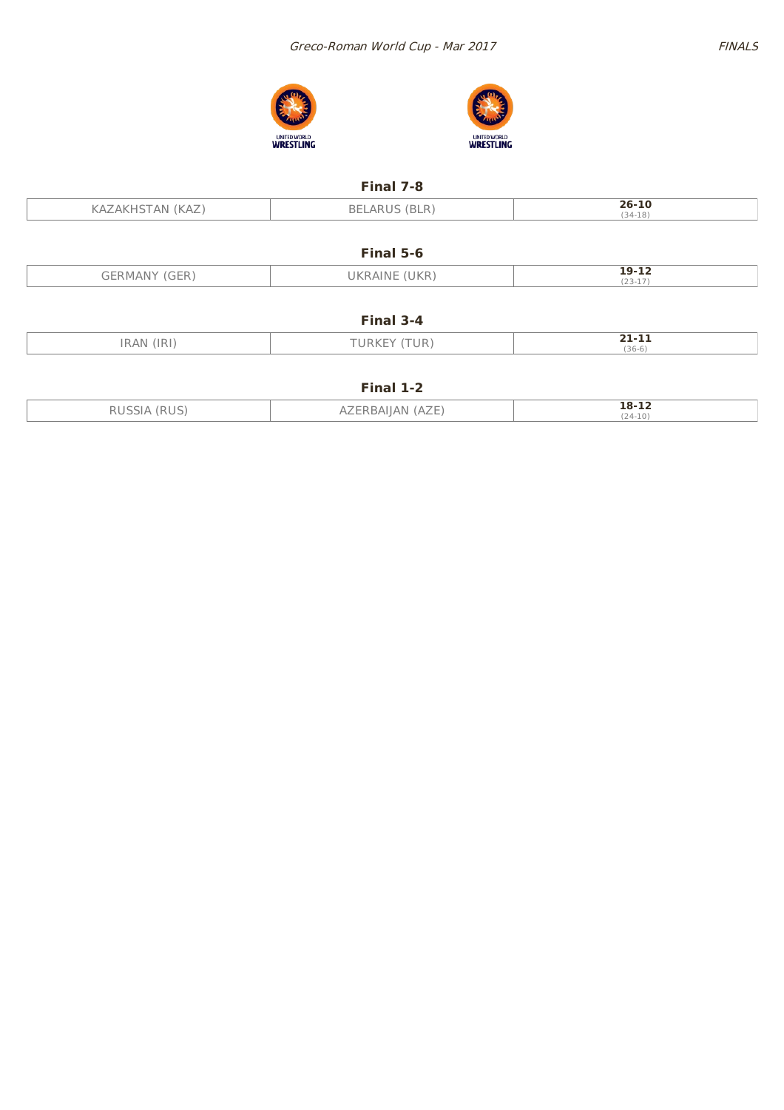





### **Final 7-8**

| 'KAZ | (BLR) | 26-10     |
|------|-------|-----------|
| ΔN   | BELAR | $(34-18)$ |
|      |       |           |

### **Final 5-6**

| $\sim  -$<br>GERMANY<br>(GER | (UKR)<br><b>UKRAINE</b> | 19-12               |
|------------------------------|-------------------------|---------------------|
|                              |                         | $72 - 17$<br>(ムジ-エノ |

| ınaı |  |
|------|--|
|------|--|

| ID<br>A NI                | <b>ID</b><br>JRK<br>UK. | . .<br>--- |
|---------------------------|-------------------------|------------|
| - 1 N 1 4<br>11 \/ _\ 1 \ |                         | $(36-6)$   |

### **Final 1-2**

| IDHC | (AZE)<br>RAILAN I<br>$A_{\angle}$ | 18-12     |
|------|-----------------------------------|-----------|
| - -  |                                   | $(24-10)$ |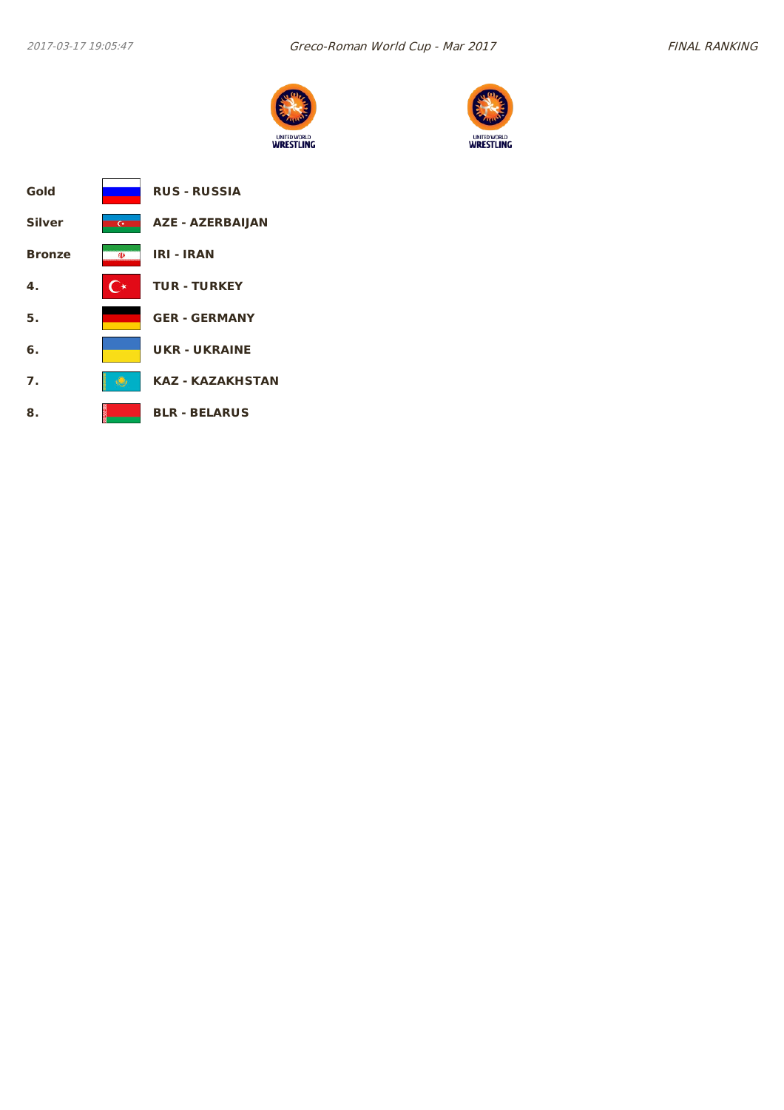



| Gold          |                | <b>RUS - RUSSIA</b>     |
|---------------|----------------|-------------------------|
| <b>Silver</b> | $\overline{C}$ | <b>AZE - AZERBAIJAN</b> |
| <b>Bronze</b> | <b>OD</b>      | <b>IRI - IRAN</b>       |
| 4.            | <b>∴ ∗</b>     | <b>TUR - TURKEY</b>     |
| 5.            |                | <b>GER - GERMANY</b>    |
| 6.            |                | <b>UKR-UKRAINE</b>      |
| 7.            |                | KAZ - KAZAKHSTAN        |
| 8.            |                | <b>BLR - BELARUS</b>    |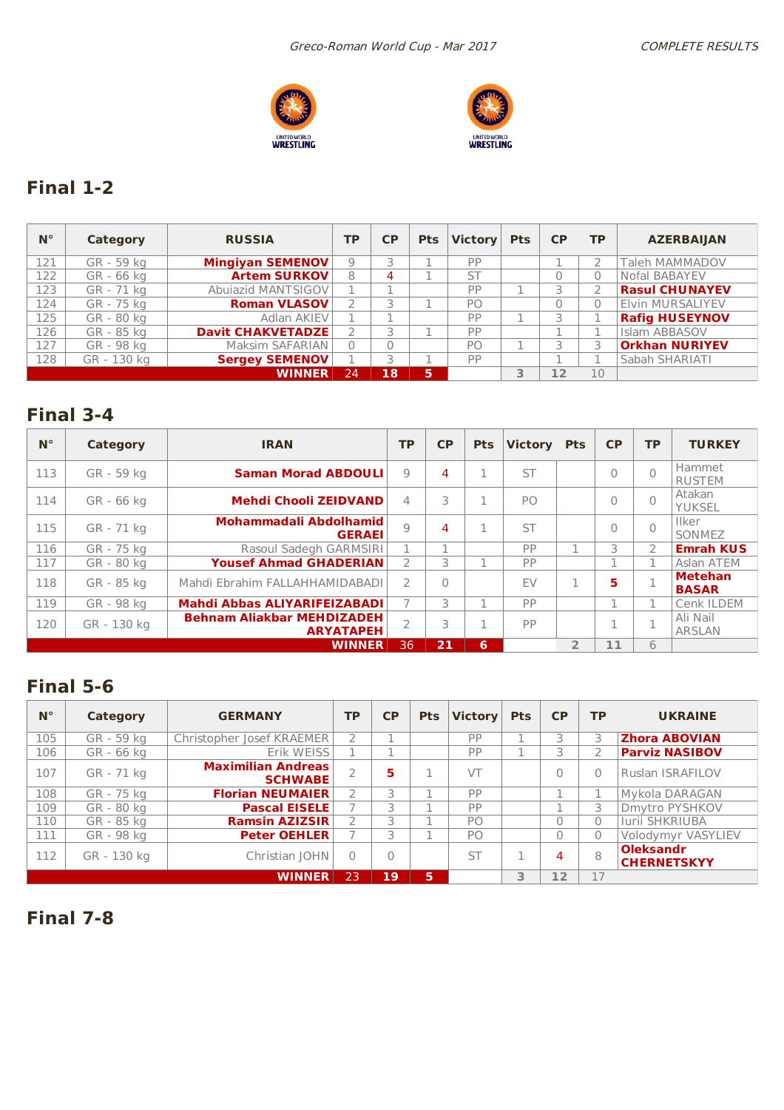



# **Final 1-2**

| $N^{\circ}$ | Category    | <b>RUSSIA</b>            | <b>TP</b> | CP | <b>Pts</b> | <b>Victory</b> | <b>Pts</b> | CP | <b>TP</b> | <b>AZERBAIJAN</b>       |
|-------------|-------------|--------------------------|-----------|----|------------|----------------|------------|----|-----------|-------------------------|
| 121         | GR - 59 kg  | <b>Mingiyan SEMENOV</b>  | 9         |    |            | PP             |            |    |           | <b>Taleh MAMMADOV</b>   |
| 122         | GR - 66 kg  | <b>Artem SURKOV</b>      | 8         | 4  |            | <b>ST</b>      |            | 0  | 0         | Nofal BABAYEV           |
| 123         | GR - 71 kg  | Abujazid MANTSIGOV       |           |    |            | PP             |            |    |           | <b>Rasul CHUNAYEV</b>   |
| 124         | GR - 75 kg  | <b>Roman VLASOV</b>      |           |    |            | PO             |            | 0  | 0         | <b>Elvin MURSALIYEV</b> |
| 125         | GR - 80 kg  | Adlan AKIEV              |           |    |            | PP             |            |    |           | <b>Rafig HUSEYNOV</b>   |
| 126         | GR - 85 kg  | <b>Davit CHAKVETADZE</b> | C         | ⊇  |            | PP             |            |    |           | Islam ABBASOV           |
| 127         | GR - 98 kg  | Maksim SAFARIAN          | $\Omega$  |    |            | PO             |            |    | 3         | <b>Orkhan NURIYEV</b>   |
| 128         | GR - 130 kg | <b>Sergey SEMENOV</b>    |           |    |            | PP             |            |    |           | Sabah SHARIATI          |
|             |             | <b>WINNER</b>            | 24        | 18 | 5          |                |            | 12 | 10        |                         |

### **Final 3-4**

| $N^{\circ}$ | Category    | <b>IRAN</b>                                           | <b>TP</b>     | <b>CP</b> | <b>Pts</b> | <b>Victory</b> | <b>Pts</b>     | CP       | <b>TP</b>      | <b>TURKEY</b>                  |
|-------------|-------------|-------------------------------------------------------|---------------|-----------|------------|----------------|----------------|----------|----------------|--------------------------------|
| 113         | GR - 59 kg  | <b>Saman Morad ABDOULI</b>                            | 9             | 4         |            | <b>ST</b>      |                | 0        | $\Omega$       | Hammet<br><b>RUSTEM</b>        |
| 114         | GR - 66 kg  | <b>Mehdi Chooli ZEIDVAND</b>                          | 4             | 3         |            | PO.            |                | 0        | $\overline{0}$ | Atakan<br><b>YUKSEL</b>        |
| 115         | GR - 71 kg  | Mohammadali Abdolhamid<br><b>GERAEI</b>               | Q             | 4         |            | <b>ST</b>      |                | $\Omega$ | $\Omega$       | <b>Ilker</b><br>SONMEZ         |
| 116         | GR - 75 kg  | Rasoul Sadegh GARMSIRI                                |               |           |            | PP             |                | 3        | $\mathcal{P}$  | <b>Emrah KUS</b>               |
| 117         | GR - 80 kg  | <b>Yousef Ahmad GHADERIAN</b>                         |               | 3         |            | PP             |                |          |                | Aslan ATEM                     |
| 118         | GR - 85 kg  | Mahdi Ebrahim FALLAHHAMIDABADI                        | $\mathcal{P}$ | $\bigcap$ |            | <b>FV</b>      | п.             | 5        |                | <b>Metehan</b><br><b>BASAR</b> |
| 119         | GR - 98 kg  | Mahdi Abbas ALIYARIFEIZABADI                          |               | 3         |            | PP             |                |          |                | Cenk ILDEM                     |
| 120         | GR - 130 kg | <b>Behnam Aliakbar MEHDIZADEH</b><br><b>ARYATAPEH</b> | C             | 3         |            | PP             |                | n.       | п.             | Ali Nail<br><b>ARSLAN</b>      |
|             |             | <b>WINNER</b>                                         | 36            | 21        | 6          |                | $\overline{2}$ | 11       | 6              |                                |

### **Final 5-6**

| $N^{\circ}$ | Category    | <b>GERMANY</b>                              | <b>TP</b>                | <b>CP</b> | <b>Pts</b> | <b>Victory</b> | <b>Pts</b> | CP       | <b>TP</b> | <b>UKRAINE</b>                         |
|-------------|-------------|---------------------------------------------|--------------------------|-----------|------------|----------------|------------|----------|-----------|----------------------------------------|
| 105         | GR - 59 kg  | Christopher Josef KRAEMER                   | 2                        |           |            | PP             |            | 3        | 3         | <b>Zhora ABOVIAN</b>                   |
| 106         | GR - 66 kg  | Erik WEISS                                  |                          |           |            | PP             |            | 5        | 2         | <b>Parviz NASIBOV</b>                  |
| 107         | GR - 71 kg  | <b>Maximilian Andreas</b><br><b>SCHWABE</b> | $\overline{\phantom{a}}$ | 5         |            | VT             |            | 0        | $\Omega$  | <b>Ruslan ISRAFILOV</b>                |
| 108         | GR - 75 kg  | <b>Florian NEUMAIER</b>                     | 2                        | 3         |            | PP             |            |          |           | Mykola DARAGAN                         |
| 109         | GR - 80 kg  | <b>Pascal EISELE</b>                        |                          | 3         |            | PP             |            |          | 3         | Dmytro PYSHKOV                         |
| 110         | GR - 85 kg  | <b>Ramsin AZIZSIR</b>                       | 2                        | 3         |            | P <sub>O</sub> |            | 0        | 0         | <b>Iurii SHKRIUBA</b>                  |
| 111         | GR - 98 kg  | <b>Peter OEHLER</b>                         |                          | 3         |            | P <sub>O</sub> |            | $\Omega$ | $\Omega$  | Volodymyr VASYLIEV                     |
| 112         | GR - 130 kg | Christian JOHN                              | $\Omega$                 | $\bigcap$ |            | <b>ST</b>      |            | 4        | 8         | <b>Oleksandr</b><br><b>CHERNETSKYY</b> |
|             |             | <b>WINNER</b>                               | 23                       | 19        | 5          |                | 3          | 12       | 17        |                                        |

**Final 7-8**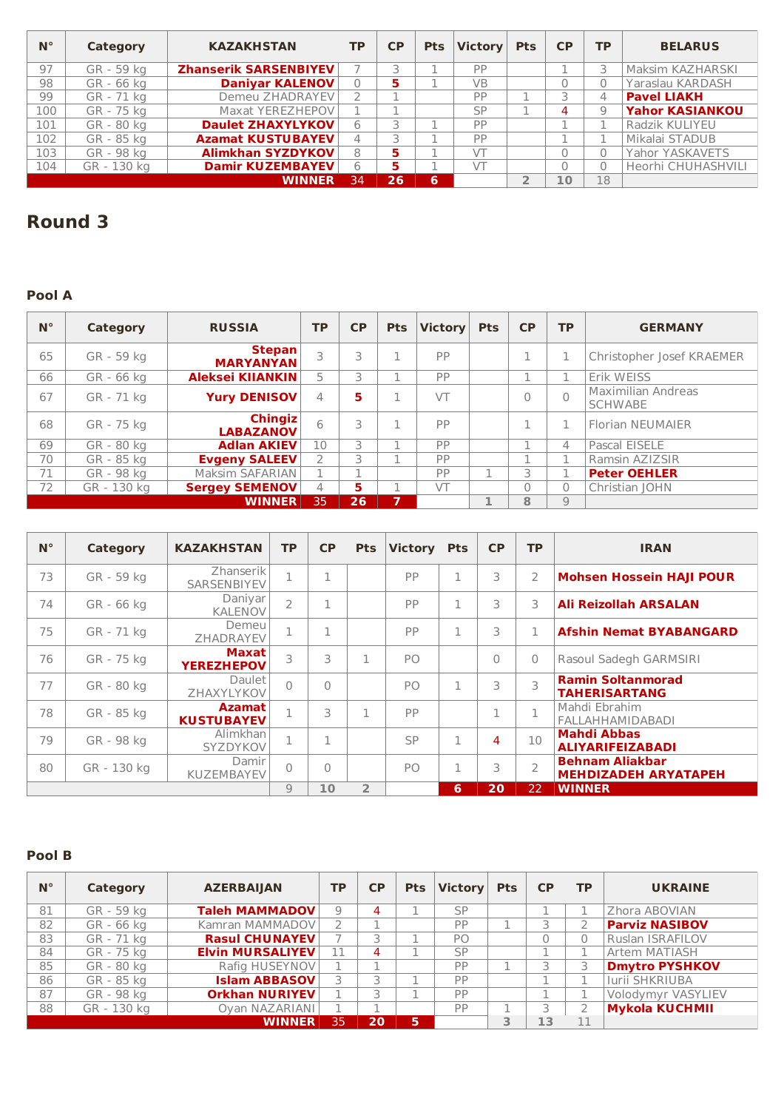| $N^{\circ}$ | Category    | <b>KAZAKHSTAN</b>            | ТP | <b>CP</b> | <b>Pts</b> | <b>Victory</b> | <b>Pts</b> | <b>CP</b> | TP | <b>BELARUS</b>         |
|-------------|-------------|------------------------------|----|-----------|------------|----------------|------------|-----------|----|------------------------|
| 97          | GR - 59 kg  | <b>Zhanserik SARSENBIYEV</b> |    |           |            | PP             |            |           | 3  | Maksim KAZHARSKI       |
| 98          | GR - 66 ka  | <b>Daniyar KALENOV</b>       | 0  | 5         |            | <b>VB</b>      |            |           |    | Yaraslau KARDASH       |
| 99          | GR - 71 kg  | Demeu ZHADRAYEV              |    |           |            | PP             |            | ⊇         | 4  | <b>Pavel LIAKH</b>     |
| 100         | GR - 75 kg  | Maxat YEREZHEPOV             |    |           |            | <b>SP</b>      |            | 4         | 9  | <b>Yahor KASIANKOU</b> |
| 101         | GR - 80 kg  | <b>Daulet ZHAXYLYKOV</b>     | 6  |           |            | PP             |            |           |    | <b>Radzik KULIYEU</b>  |
| 102         | GR - 85 kg  | <b>Azamat KUSTUBAYEV</b>     | 4  |           |            | PP             |            |           |    | Mikalai STADUB         |
| 103         | GR - 98 kg  | <b>Alimkhan SYZDYKOV</b>     | 8  | 5         |            | VT             |            |           |    | Yahor YASKAVETS        |
| 104         | GR - 130 kg | <b>Damir KUZEMBAYEV</b>      | 6  | 5         |            | VT             |            |           |    | Heorhi CHUHASHVILI     |
|             |             | <b>WINNER</b>                | 34 | 26        | 6          |                |            | $\Omega$  | 18 |                        |

## **Round 3**

### **Pool A**

| $N^{\circ}$ | Category    | <b>RUSSIA</b>                      | <b>TP</b>     | <b>CP</b> | <b>Pts</b>     | <b>Victory</b> | <b>Pts</b> | <b>CP</b> | <b>TP</b> | <b>GERMANY</b>                       |
|-------------|-------------|------------------------------------|---------------|-----------|----------------|----------------|------------|-----------|-----------|--------------------------------------|
| 65          | GR - 59 kg  | Stepan<br><b>MARYANYAN</b>         | 3             |           |                | PP             |            |           |           | Christopher Josef KRAEMER            |
| 66          | GR - 66 kg  | Aleksei KIIANKIN                   | 5             |           |                | PP             |            |           |           | Erik WEISS                           |
| 67          | GR - 71 kg  | <b>Yury DENISOV</b>                | 4             | 5         |                | VT             |            | $\Omega$  | $\Omega$  | Maximilian Andreas<br><b>SCHWABE</b> |
| 68          | GR - 75 kg  | <b>Chingiz</b><br><b>LABAZANOV</b> | 6             |           |                | PP             |            |           |           | <b>Florian NEUMAIER</b>              |
| 69          | GR - 80 kg  | <b>Adlan AKIEV</b>                 | 10            | 3         |                | PP             |            |           | 4         | Pascal EISELE                        |
| 70          | GR - 85 kg  | <b>Evgeny SALEEV</b>               | $\mathcal{P}$ | 3         |                | PP             |            |           | п.        | Ramsin AZIZSIR                       |
| 71          | GR - 98 kg  | Maksim SAFARIAN                    |               |           |                | PP             |            | 3         |           | <b>Peter OEHLER</b>                  |
| 72          | GR - 130 kg | <b>Sergey SEMENOV</b>              | 4             | 5.        |                | VT             |            | $\Omega$  | $\Omega$  | Christian JOHN                       |
|             |             | <b>WINNER</b>                      | 35            | 26        | $\overline{ }$ |                | 椎          | 8         | 9         |                                      |

| $N^{\circ}$ | <b>Category</b> | <b>KAZAKHSTAN</b>                  | <b>TP</b>      | <b>CP</b> | <b>Pts</b>     | <b>Victory</b> | <b>Pts</b> | <b>CP</b> | <b>TP</b>     | <b>IRAN</b>                                           |
|-------------|-----------------|------------------------------------|----------------|-----------|----------------|----------------|------------|-----------|---------------|-------------------------------------------------------|
| 73          | GR - 59 kg      | Zhanserik<br>SARSENBIYEV           |                | л         |                | PP             | 1          | 3         | 2             | <b>Mohsen Hossein HAJI POUR</b>                       |
| 74          | GR - 66 kg      | Daniyar<br><b>KALENOV</b>          | $\overline{2}$ |           |                | PP             | 1          | 3         | 3             | <b>Ali Reizollah ARSALAN</b>                          |
| 75          | GR - 71 kg      | Demeu<br>ZHADRAYEV                 |                | п.        |                | PP             | п.         | 3         |               | <b>Afshin Nemat BYABANGARD</b>                        |
| 76          | GR - 75 kg      | <b>Maxat</b><br><b>YEREZHEPOV</b>  | 3              | 3         | п.             | PO             |            | $\Omega$  | $\mathbf{0}$  | Rasoul Sadegh GARMSIRI                                |
| 77          | GR - 80 kg      | Daulet I<br>ZHAXYLYKOV             | $\bigcap$      | $\bigcap$ |                | PO.            | 1          | 3         | 3             | <b>Ramin Soltanmorad</b><br><b>TAHERISARTANG</b>      |
| 78          | GR - 85 kg      | <b>Azamat</b><br><b>KUSTUBAYEV</b> |                | 3         |                | PP             |            |           |               | Mahdi Ebrahim<br><b>FALLAHHAMIDABADI</b>              |
| 79          | GR - 98 kg      | Alimkhan<br>SYZDYKOV               |                | п         |                | SP             | 1.         | 4         | 10            | <b>Mahdi Abbas</b><br><b>ALIYARIFEIZABADI</b>         |
| 80          | GR - 130 kg     | Damir<br><b>KUZEMBAYEV</b>         | $\cap$         | $\bigcap$ |                | P <sub>O</sub> | п.         | 3         | $\mathcal{P}$ | <b>Behnam Aliakbar</b><br><b>MEHDIZADEH ARYATAPEH</b> |
|             |                 |                                    | 9              | 10        | $\overline{2}$ |                | 6          | 20        | 22            | <b>WINNER</b>                                         |

### **Pool B**

| $N^{\circ}$ | Category    | <b>AZERBAIJAN</b>       | <b>TP</b> | <b>CP</b> | <b>Pts</b> | Victory Pts |   | <b>CP</b> | <b>TP</b> | <b>UKRAINE</b>        |
|-------------|-------------|-------------------------|-----------|-----------|------------|-------------|---|-----------|-----------|-----------------------|
| 81          | GR - 59 kg  | <b>Taleh MAMMADOV</b>   | 9         | 4         |            | <b>SP</b>   |   |           |           | Zhora ABOVIAN         |
| 82          | GR - 66 kg  | Kamran MAMMADOV         |           |           |            | PP          |   | $\supset$ |           | <b>Parviz NASIBOV</b> |
| 83          | GR - 71 kg  | <b>Rasul CHUNAYEV</b>   |           |           |            | PO          |   |           |           | Ruslan ISRAFILOV      |
| 84          | GR - 75 kg  | <b>Elvin MURSALIYEV</b> | 11        | 4         |            | <b>SP</b>   |   |           |           | Artem MATIASH         |
| 85          | GR - 80 kg  | Rafig HUSEYNOV          |           |           |            | PP          |   |           | 3         | <b>Dmytro PYSHKOV</b> |
| 86          | GR - 85 kg  | <b>Islam ABBASOV</b>    |           |           |            | PP          |   |           |           | Iurii SHKRIUBA        |
| 87          | GR - 98 kg  | <b>Orkhan NURIYEV</b>   |           |           |            | PP          |   |           |           | Volodymyr VASYLIEV    |
| 88          | GR - 130 kg | Oyan NAZARIANI          |           |           |            | PP          |   |           |           | <b>Mykola KUCHMII</b> |
|             |             | <b>WINNER</b>           | 35        | 20        | <b>5.</b>  |             | 3 | 13        |           |                       |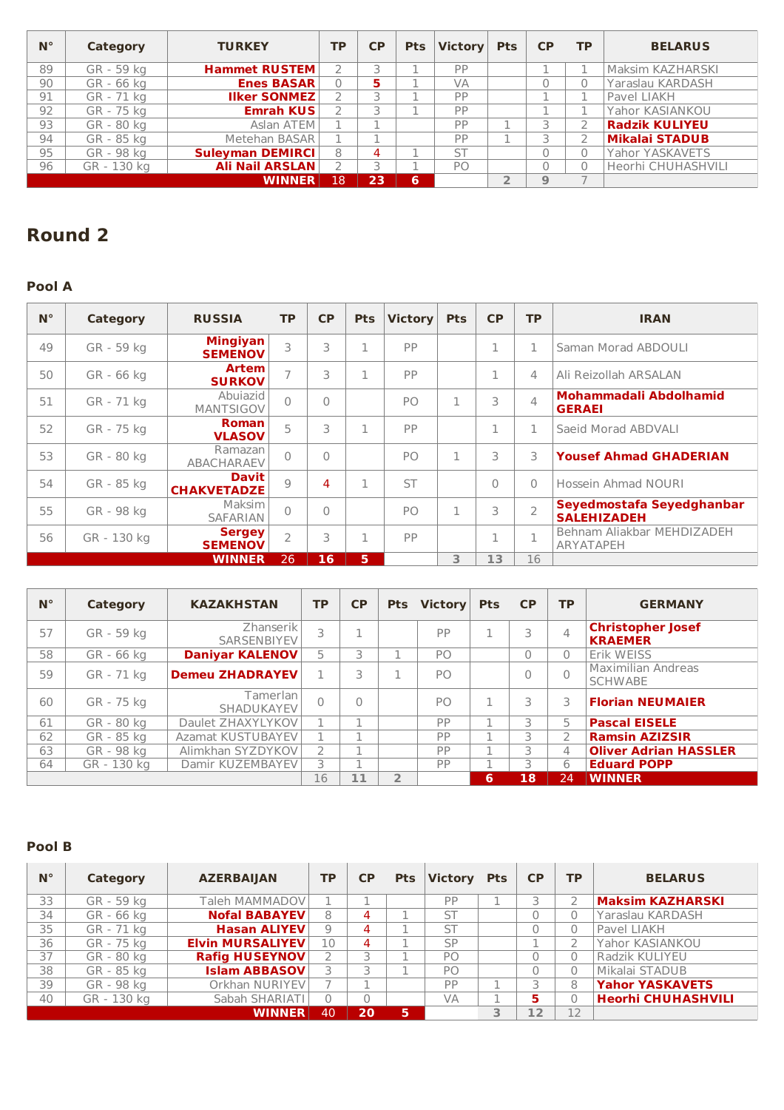| $N^{\circ}$ | Category    | <b>TURKEY</b>           | <b>TP</b> | <b>CP</b> | <b>Pts</b> | <b>Victory</b> | <b>Pts</b> | CP | <b>TP</b> | <b>BELARUS</b>        |
|-------------|-------------|-------------------------|-----------|-----------|------------|----------------|------------|----|-----------|-----------------------|
| 89          | GR - 59 kg  | <b>Hammet RUSTEM</b>    |           |           |            | PP             |            |    |           | Maksim KAZHARSKI      |
| 90          | GR - 66 kg  | <b>Enes BASAR</b>       | 0         | 5         |            | VA             |            |    |           | Yaraslau KARDASH      |
| 91          | GR - 71 kg  | <b>Ilker SONMEZ</b>     |           |           |            | PP             |            |    |           | Pavel LIAKH           |
| 92          | GR - 75 kg  | <b>Emrah KUS</b>        |           |           |            | PP             |            |    |           | Yahor KASIANKOU       |
| 93          | GR - 80 kg  | Aslan ATEM              |           |           |            | PP             |            |    |           | <b>Radzik KULIYEU</b> |
| 94          | GR - 85 kg  | Metehan BASAR           |           |           |            | PP             |            |    |           | <b>Mikalai STADUB</b> |
| 95          | GR - 98 kg  | <b>Suleyman DEMIRCI</b> | 8         | 4         |            | <b>ST</b>      |            |    | n.        | Yahor YASKAVETS       |
| 96          | GR - 130 kg | <b>Ali Nail ARSLAN</b>  |           |           |            | PO             |            |    |           | Heorhi CHUHASHVILI    |
|             |             | <b>WINNER</b>           | 18        | 23        | 6          |                |            |    |           |                       |

## **Round 2**

### **Pool A**

| $N^{\circ}$ | Category    | <b>RUSSIA</b>                      | <b>TP</b>      | <b>CP</b> | <b>Pts</b>   | <b>Victory</b> | <b>Pts</b> | <b>CP</b>    | <b>TP</b>      | <b>IRAN</b>                                     |
|-------------|-------------|------------------------------------|----------------|-----------|--------------|----------------|------------|--------------|----------------|-------------------------------------------------|
| 49          | GR - 59 kg  | <b>Mingiyan</b><br><b>SEMENOV</b>  | 3              | 3         | 1            | PP             |            | $\mathbf{I}$ | 1              | Saman Morad ABDOULI                             |
| 50          | GR - 66 kg  | <b>Artem</b><br><b>SURKOV</b>      | $\overline{1}$ | 3         | $\mathbf{I}$ | PP             |            |              | 4              | Ali Reizollah ARSALAN                           |
| 51          | GR - 71 kg  | Abujazid<br><b>MANTSIGOV</b>       | $\bigcap$      | $\Omega$  |              | PO             |            | 3            | $\overline{4}$ | Mohammadali Abdolhamid<br><b>GERAEI</b>         |
| 52          | GR - 75 kg  | <b>Roman</b><br><b>VLASOV</b>      | 5              | 3         | 1            | PP             |            | $\mathbf{I}$ | 1              | Saeid Morad ABDVALI                             |
| 53          | GR - 80 kg  | Ramazan<br><b>ABACHARAEV</b>       | $\bigcap$      | $\Omega$  |              | PO             |            | 3            | 3              | <b>Yousef Ahmad GHADERIAN</b>                   |
| 54          | GR - 85 kg  | <b>Davit</b><br><b>CHAKVETADZE</b> | Q              | 4         | 1            | <b>ST</b>      |            | 0            | $\Omega$       | Hossein Ahmad NOURI                             |
| 55          | GR - 98 kg  | Maksim<br>SAFARIAN                 | $\bigcap$      | $\Omega$  |              | P <sub>O</sub> | п.         | 3            | $\overline{2}$ | Seyedmostafa Seyedghanbar<br><b>SALEHIZADEH</b> |
| 56          | GR - 130 kg | <b>Sergey</b><br><b>SEMENOV</b>    | $\mathcal{P}$  | 3         | 1            | PP             |            | п.           | п.             | Behnam Aliakbar MEHDIZADEH<br>ARYATAPEH         |
|             |             | <b>WINNER</b>                      | 26             | 16        | 5            |                | 3          | 13           | 16             |                                                 |

| $N^{\circ}$ | Category    | <b>KAZAKHSTAN</b>        | <b>TP</b>     | <b>CP</b> | <b>Pts</b>     | <b>Victory</b> | <b>Pts</b> | <b>CP</b> | <b>TP</b>     | <b>GERMANY</b>                              |
|-------------|-------------|--------------------------|---------------|-----------|----------------|----------------|------------|-----------|---------------|---------------------------------------------|
| 57          | GR - 59 kg  | Zhanserik<br>SARSENBIYEV | 3             |           |                | PP             |            | 3         | 4             | <b>Christopher Josef</b><br><b>KRAEMER</b>  |
| 58          | GR - 66 kg  | <b>Daniyar KALENOV</b>   | 5             | 3.        |                | PO             |            | $\Omega$  | $\Omega$      | Erik WEISS                                  |
| 59          | GR - 71 kg  | <b>Demeu ZHADRAYEV</b>   |               | 3         |                | PO             |            | $\Omega$  | $\Omega$      | <b>Maximilian Andreas</b><br><b>SCHWABE</b> |
| 60          | GR - 75 kg  | Tamerlan l<br>SHADUKAYEV | 0             | 0         |                | P <sub>O</sub> | 1          | 3         | 3             | <b>Florian NEUMAIER</b>                     |
| 61          | GR - 80 kg  | Daulet ZHAXYLYKOV        |               |           |                | PP             |            | 3         | 5             | <b>Pascal EISELE</b>                        |
| 62          | GR - 85 kg  | Azamat KUSTUBAYEV        |               |           |                | PP             |            | 3         | $\mathcal{P}$ | <b>Ramsin AZIZSIR</b>                       |
| 63          | GR - 98 kg  | Alimkhan SYZDYKOV        | $\mathcal{P}$ |           |                | PP             |            |           | 4             | <b>Oliver Adrian HASSLER</b>                |
| 64          | GR - 130 kg | Damir KUZEMBAYEV         | 3             |           |                | PP             |            | 3         | 6             | <b>Eduard POPP</b>                          |
|             |             |                          | 16            | 11        | $\overline{2}$ |                | 6          | 18        | 24            | <b>WINNER</b>                               |

### **Pool B**

| $N^{\circ}$ | Category    | <b>AZERBAIJAN</b>       | ТP | <b>CP</b> | <b>Pts</b> | <b>Victory</b> | <b>Pts</b> | <b>CP</b> | <b>TP</b> | <b>BELARUS</b>            |
|-------------|-------------|-------------------------|----|-----------|------------|----------------|------------|-----------|-----------|---------------------------|
| 33          | GR - 59 kg  | Taleh MAMMADOV          |    |           |            | PP             |            |           |           | <b>Maksim KAZHARSKI</b>   |
| 34          | GR - 66 kg  | <b>Nofal BABAYEV</b>    | 8  | 4         |            | <b>ST</b>      |            |           | 0         | Yaraslau KARDASH          |
| 35          | GR - 71 kg  | <b>Hasan ALIYEV</b>     | 9  | 4         |            | <b>ST</b>      |            |           | 0         | Pavel LIAKH               |
| 36          | GR - 75 kg  | <b>Elvin MURSALIYEV</b> | 10 | 4         |            | SP             |            |           | 2         | Yahor KASIANKOU           |
| 37          | GR - 80 kg  | <b>Rafig HUSEYNOV</b>   |    |           |            | P <sub>O</sub> |            |           | 0         | Radzik KULIYEU            |
| 38          | GR - 85 kg  | <b>Islam ABBASOV</b>    |    |           |            | P <sub>O</sub> |            | 0         | $\Omega$  | Mikalai STADUB            |
| 39          | GR - 98 kg  | Orkhan NURIYEV          |    |           |            | PP             |            |           | 8         | <b>Yahor YASKAVETS</b>    |
| 40          | GR - 130 kg | Sabah SHARIATI          |    | n         |            | VA             |            | 5         | 0         | <b>Heorhi CHUHASHVILI</b> |
|             |             | <b>WINNER</b>           | 40 | 20        | 5.         |                | 3          | 12        | 12        |                           |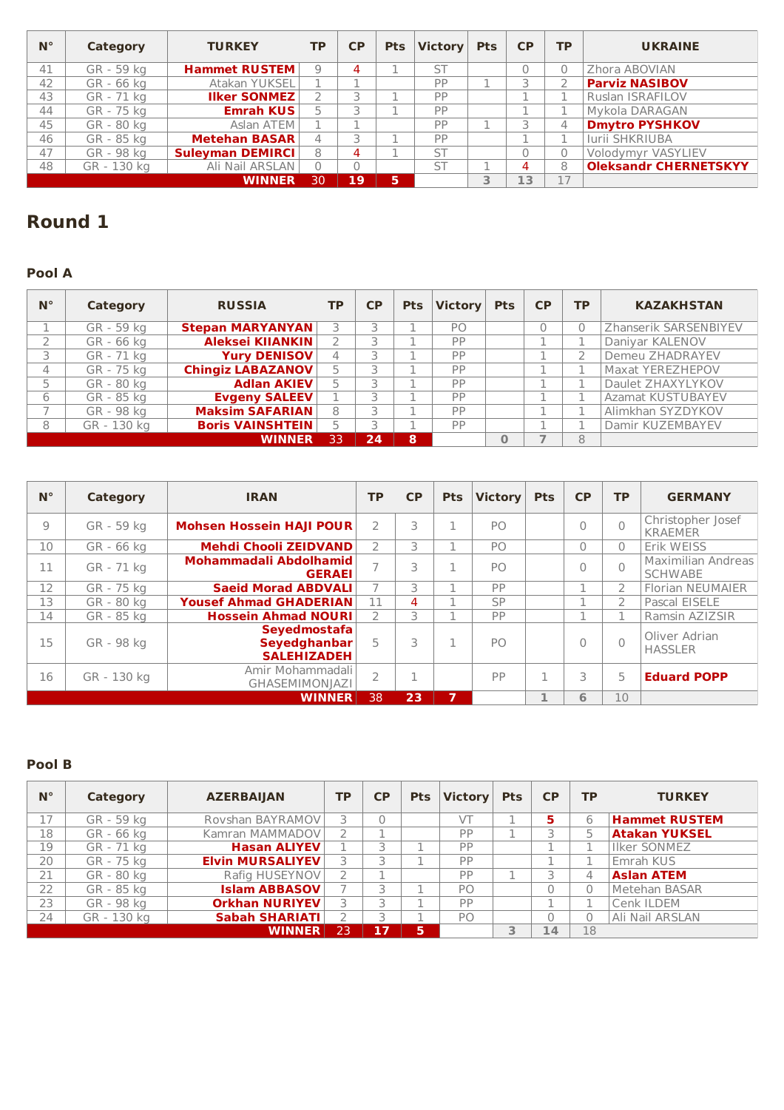| $N^{\circ}$ | Category    | <b>TURKEY</b>           | <b>TP</b>     | <b>CP</b> |   | Pts Victory | <b>Pts</b> | <b>CP</b> | <b>TP</b> | <b>UKRAINE</b>               |
|-------------|-------------|-------------------------|---------------|-----------|---|-------------|------------|-----------|-----------|------------------------------|
| 41          | GR - 59 kg  | <b>Hammet RUSTEM</b>    | $\mathcal{Q}$ | 4         |   | <b>ST</b>   |            |           |           | Zhora ABOVIAN                |
| 42          | GR - 66 kg  | <b>Atakan YUKSEL</b>    |               |           |   | PP          |            |           |           | <b>Parviz NASIBOV</b>        |
| 43          | GR - 71 kg  | <b>Ilker SONMEZ</b>     |               |           |   | PP          |            |           |           | Ruslan ISRAFILOV             |
| 44          | GR - 75 kg  | <b>Emrah KUS</b>        |               |           |   | PP          |            |           |           | Mykola DARAGAN               |
| 45          | GR - 80 kg  | Aslan ATEM              |               |           |   | PP          |            |           | 4         | <b>Dmytro PYSHKOV</b>        |
| 46          | GR - 85 kg  | <b>Metehan BASAR</b>    | 4             |           |   | PP          |            |           |           | Iurii SHKRIUBA               |
| 47          | GR - 98 ka  | <b>Suleyman DEMIRCI</b> | 8             | 4         |   | <b>ST</b>   |            |           |           | Volodymyr VASYLIEV           |
| 48          | GR - 130 kg | Ali Nail ARSLAN         | $\Omega$      |           |   | <b>ST</b>   |            |           | 8         | <b>Oleksandr CHERNETSKYY</b> |
|             |             | <b>WINNER</b>           | 30            | 19        | 5 |             |            | 13        |           |                              |

## **Round 1**

### **Pool A**

| $N^{\circ}$ | <b>Category</b> | <b>RUSSIA</b>            | <b>TP</b> | <b>CP</b> | <b>Pts</b> | <b>Victory</b> | <b>Pts</b>   | <b>CP</b> | <b>TP</b> | <b>KAZAKHSTAN</b>      |
|-------------|-----------------|--------------------------|-----------|-----------|------------|----------------|--------------|-----------|-----------|------------------------|
|             | GR - 59 kg      | <b>Stepan MARYANYAN</b>  | 3         |           |            | PO.            |              |           |           | Zhanserik SARSENBIYEV  |
|             | GR - 66 kg      | <b>Aleksei KIIANKIN</b>  |           |           |            | PP             |              |           |           | Daniyar KALENOV        |
|             | GR - 71 kg      | Yury DENISOV             | 4         |           |            | PP             |              |           |           | <b>Demeu ZHADRAYEV</b> |
| 4           | GR - 75 kg      | <b>Chingiz LABAZANOV</b> | 5         |           |            | PP             |              |           |           | Maxat YEREZHEPOV       |
|             | GR - 80 kg      | <b>Adlan AKIEV</b>       | 5         |           |            | PP             |              |           |           | Daulet ZHAXYLYKOV      |
| 6           | GR - 85 kg      | <b>Evgeny SALEEV</b>     |           |           |            | PP             |              |           |           | Azamat KUSTUBAYEV      |
|             | GR - 98 kg      | <b>Maksim SAFARIAN</b>   | 8         |           |            | PP             |              |           |           | Alimkhan SYZDYKOV      |
| 8           | GR - 130 kg     | <b>Boris VAINSHTEIN</b>  | 5         |           |            | PP             |              |           |           | Damir KUZEMBAYEV       |
|             |                 | <b>WINNER</b>            | 33        | 24        | 8          |                | $\mathbf{0}$ |           | 8         |                        |

| $N^{\circ}$ | <b>Category</b> | <b>IRAN</b>                                        | <b>TP</b>                | CP | <b>Pts</b>     | <b>Victory</b> | <b>Pts</b> | <b>CP</b> | <b>TP</b>     | <b>GERMANY</b>                              |
|-------------|-----------------|----------------------------------------------------|--------------------------|----|----------------|----------------|------------|-----------|---------------|---------------------------------------------|
| 9           | GR - 59 kg      | <b>Mohsen Hossein HAJI POUR</b>                    | $\overline{2}$           | 3  |                | PO             |            | $\Omega$  | $\Omega$      | Christopher Josef<br><b>KRAEMER</b>         |
| 10          | GR - 66 kg      | <b>Mehdi Chooli ZEIDVAND</b>                       | $\overline{2}$           | 3  |                | PO             |            | $\Omega$  | $\Omega$      | Erik WEISS                                  |
| 11          | GR - 71 kg      | Mohammadali Abdolhamid<br><b>GERAEI</b>            | $\rightarrow$            | 3  |                | PO             |            | $\bigcap$ | $\Omega$      | <b>Maximilian Andreas</b><br><b>SCHWABE</b> |
| 12          | GR - 75 kg      | <b>Saeid Morad ABDVALI</b>                         | ⇁                        | 3  |                | PP             |            |           | 2             | <b>Florian NEUMAIER</b>                     |
| 13          | GR - 80 kg      | <b>Yousef Ahmad GHADERIAN</b>                      | 11                       | 4  |                | SP             |            |           | $\mathcal{P}$ | Pascal EISELE                               |
| 14          | GR - 85 kg      | <b>Hossein Ahmad NOURI</b>                         | $\mathcal{P}$            | 3  |                | PP             |            |           |               | Ramsin AZIZSIR                              |
| 15          | GR - 98 kg      | Sevedmostafa<br>Seyedghanbar<br><b>SALEHIZADEH</b> | 5                        | 3  | <b>All</b>     | PO             |            | $\Omega$  | $\bigcap$     | Oliver Adrian<br><b>HASSLER</b>             |
| 16          | GR - 130 kg     | Amir Mohammadali<br><b>GHASEMIMONIAZI</b>          | $\overline{\phantom{a}}$ | P. |                | PP             |            | 3         | 5             | <b>Eduard POPP</b>                          |
|             |                 | <b>WINNER</b>                                      | 38                       | 23 | $\overline{7}$ |                |            | 6         | 10            |                                             |

#### **Pool B**

| $N^{\circ}$ | Category    | <b>AZERBAIJAN</b>       | <b>TP</b>      | CP | <b>Pts</b> | Victory        | <b>Pts</b> | <b>CP</b> | <b>TP</b> | <b>TURKEY</b>        |
|-------------|-------------|-------------------------|----------------|----|------------|----------------|------------|-----------|-----------|----------------------|
| 17          | GR - 59 kg  | Rovshan BAYRAMOV        |                |    |            | VT             |            | 5         | 6         | <b>Hammet RUSTEM</b> |
| 18          | GR - 66 kg  | Kamran MAMMADOV         | っ              | ×, |            | PP             |            |           |           | <b>Atakan YUKSEL</b> |
| 19          | GR - 71 kg  | <b>Hasan ALIYEV</b>     |                |    |            | <b>DD</b>      |            |           |           | <b>Ilker SONMEZ</b>  |
| 20          | GR - 75 kg  | <b>Elvin MURSALIYEV</b> |                |    |            | PP             |            |           |           | Emrah KUS            |
| 21          | GR - 80 kg  | Rafig HUSEYNOV          | $\overline{2}$ |    |            | PP             |            |           | 4         | <b>Aslan ATEM</b>    |
| 22          | GR - 85 kg  | <b>Islam ABBASOV</b>    |                |    |            | P <sub>O</sub> |            |           |           | Metehan BASAR        |
| 23          | GR - 98 kg  | <b>Orkhan NURIYEV</b>   |                |    |            | PP             |            |           |           | Cenk ILDEM           |
| 24          | GR - 130 kg | <b>Sabah SHARIATI</b>   | $\mathcal{P}$  | ⊇  |            | PO.            |            |           |           | Ali Nail ARSLAN      |
|             |             | <b>WINNER</b>           | 23             | 17 | 5          |                |            | 14        | 18        |                      |